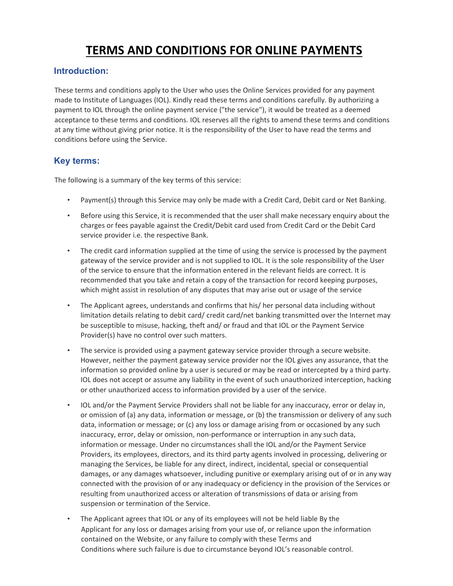# **TERMS AND CONDITIONS FOR ONLINE PAYMENTS**

# **Introduction:**

These terms and conditions apply to the User who uses the Online Services provided for any payment made to Institute of Languages (IOL). Kindly read these terms and conditions carefully. By authorizing a payment to IOL through the online payment service ("the service"), it would be treated as a deemed acceptance to these terms and conditions. IOL reserves all the rights to amend these terms and conditions at any time without giving prior notice. It is the responsibility of the User to have read the terms and conditions before using the Service.

# **Key terms:**

The following is a summary of the key terms of this service:

- Payment(s) through this Service may only be made with a Credit Card, Debit card or Net Banking.
- Before using this Service, it is recommended that the user shall make necessary enquiry about the charges or fees payable against the Credit/Debit card used from Credit Card or the Debit Card service provider i.e. the respective Bank.
- The credit card information supplied at the time of using the service is processed by the payment gateway of the service provider and is not supplied to IOL. It is the sole responsibility of the User of the service to ensure that the information entered in the relevant fields are correct. It is recommended that you take and retain a copy of the transaction for record keeping purposes, which might assist in resolution of any disputes that may arise out or usage of the service
- The Applicant agrees, understands and confirms that his/ her personal data including without limitation details relating to debit card/ credit card/net banking transmitted over the Internet may be susceptible to misuse, hacking, theft and/ or fraud and that IOL or the Payment Service Provider(s) have no control over such matters.
- The service is provided using a payment gateway service provider through a secure website. However, neither the payment gateway service provider nor the IOL gives any assurance, that the information so provided online by a user is secured or may be read or intercepted by a third party. IOL does not accept or assume any liability in the event of such unauthorized interception, hacking or other unauthorized access to information provided by a user of the service.
- IOL and/or the Payment Service Providers shall not be liable for any inaccuracy, error or delay in, or omission of (a) any data, information or message, or (b) the transmission or delivery of any such data, information or message; or (c) any loss or damage arising from or occasioned by any such inaccuracy, error, delay or omission, non-performance or interruption in any such data, information or message. Under no circumstances shall the IOL and/or the Payment Service Providers, its employees, directors, and its third party agents involved in processing, delivering or managing the Services, be liable for any direct, indirect, incidental, special or consequential damages, or any damages whatsoever, including punitive or exemplary arising out of or in any way connected with the provision of or any inadequacy or deficiency in the provision of the Services or resulting from unauthorized access or alteration of transmissions of data or arising from suspension or termination of the Service.
- The Applicant agrees that IOL or any of its employees will not be held liable By the Applicant for any loss or damages arising from your use of, or reliance upon the information contained on the Website, or any failure to comply with these Terms and Conditions where such failure is due to circumstance beyond IOL's reasonable control.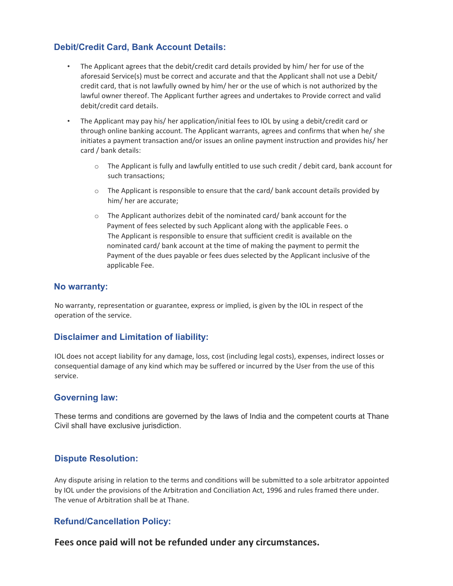# **Debit/Credit Card, Bank Account Details:**

- The Applicant agrees that the debit/credit card details provided by him/ her for use of the aforesaid Service(s) must be correct and accurate and that the Applicant shall not use a Debit/ credit card, that is not lawfully owned by him/ her or the use of which is not authorized by the lawful owner thereof. The Applicant further agrees and undertakes to Provide correct and valid debit/credit card details.
- The Applicant may pay his/ her application/initial fees to IOL by using a debit/credit card or through online banking account. The Applicant warrants, agrees and confirms that when he/ she initiates a payment transaction and/or issues an online payment instruction and provides his/ her card / bank details:
	- $\circ$  The Applicant is fully and lawfully entitled to use such credit / debit card, bank account for such transactions;
	- $\circ$  The Applicant is responsible to ensure that the card/ bank account details provided by him/ her are accurate;
	- o The Applicant authorizes debit of the nominated card/ bank account for the Payment of fees selected by such Applicant along with the applicable Fees. o The Applicant is responsible to ensure that sufficient credit is available on the nominated card/ bank account at the time of making the payment to permit the Payment of the dues payable or fees dues selected by the Applicant inclusive of the applicable Fee.

#### **No warranty:**

No warranty, representation or guarantee, express or implied, is given by the IOL in respect of the operation of the service.

## **Disclaimer and Limitation of liability:**

IOL does not accept liability for any damage, loss, cost (including legal costs), expenses, indirect losses or consequential damage of any kind which may be suffered or incurred by the User from the use of this service.

#### **Governing law:**

These terms and conditions are governed by the laws of India and the competent courts at Thane Civil shall have exclusive jurisdiction.

## **Dispute Resolution:**

Any dispute arising in relation to the terms and conditions will be submitted to a sole arbitrator appointed by IOL under the provisions of the Arbitration and Conciliation Act, 1996 and rules framed there under. The venue of Arbitration shall be at Thane.

## **Refund/Cancellation Policy:**

**Fees once paid will not be refunded under any circumstances.**